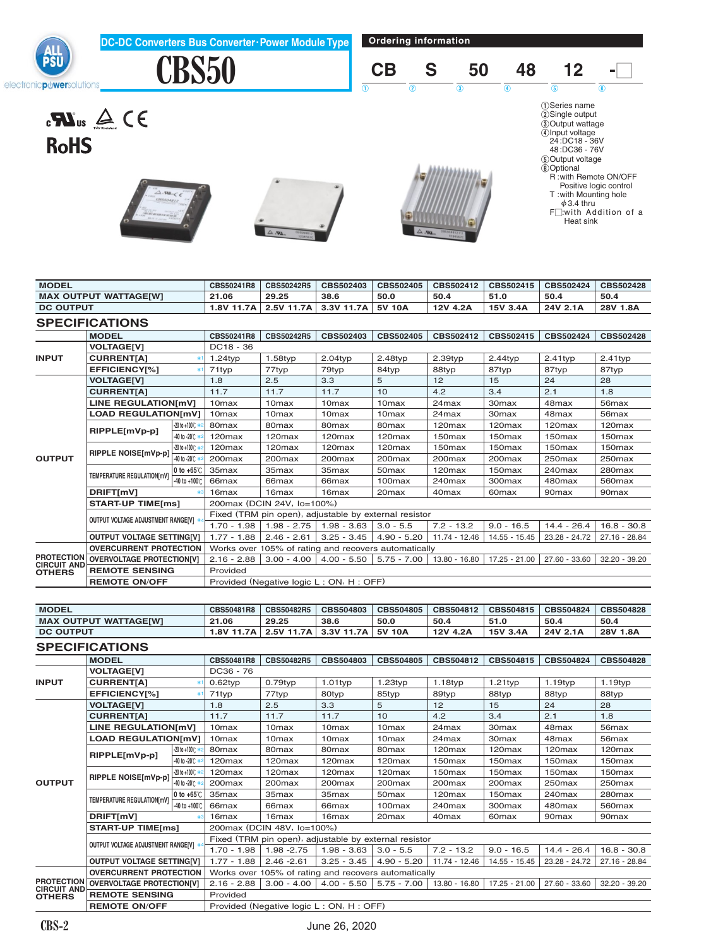**Ordering information DC-DC Converters Bus Converter.Power Module Type** ইন **CBS50 CB S 50 48 12 -**O electronic puwersolutions  $1\ \ 0\ \ 2\ \ 3\ \ 4\ \ 0\ \ 5\ \ 6$ 1 Series name 2Single output 3Output wattage 4Input voltage 24 :DC18 - 36V 48 :DC36 - 76V 5Output voltage 6Optional  $\mathbf{R}$ us  $\mathbf{A} \in \mathbf{R}$ **RoHS** R : with Remote ON/OFF Positive logic control T : with Mounting hole f3.4 thru FO:with Addition of a Heat sink

| <b>MODEL</b>                            |                                      |                                | CBS50241R8                                            | CBS50242R5                                           | CBS502403          | CBS502405          | CBS502412          | CBS502415          | CBS502424          | CBS502428          |  |
|-----------------------------------------|--------------------------------------|--------------------------------|-------------------------------------------------------|------------------------------------------------------|--------------------|--------------------|--------------------|--------------------|--------------------|--------------------|--|
| <b>MAX OUTPUT WATTAGE[W]</b>            |                                      |                                | 21.06                                                 | 29.25                                                | 38.6               | 50.0               | 50.4               | 51.0               | 50.4               | 50.4               |  |
|                                         | <b>DC OUTPUT</b>                     |                                |                                                       | 2.5V 11.7A                                           | 3.3V 11.7A         | 5V 10A             | 12V 4.2A           | 15V 3.4A           | 24V 2.1A           | 28V 1.8A           |  |
|                                         | <b>SPECIFICATIONS</b>                |                                |                                                       |                                                      |                    |                    |                    |                    |                    |                    |  |
|                                         | <b>MODEL</b>                         |                                | CBS50241R8                                            | CBS50242R5                                           | CBS502403          | CBS502405          | CBS502412          | CBS502415          | CBS502424          | CBS502428          |  |
|                                         | <b>VOLTAGEIVI</b>                    |                                | DC18 - 36                                             |                                                      |                    |                    |                    |                    |                    |                    |  |
| <b>INPUT</b>                            | <b>CURRENT[A]</b>                    |                                | $1.24$ typ                                            | $1.58$ typ                                           | $2.04$ typ         | $2.48$ typ         | $2.39$ typ         | $2.44$ typ         | $2.41$ typ         | $2.41$ typ         |  |
|                                         | <b>EFFICIENCY[%]</b>                 |                                | 71typ                                                 | 77typ                                                | 79typ              | 84typ              | 88typ              | 87typ              | 87typ              | 87typ              |  |
|                                         | <b>VOLTAGE[V]</b>                    |                                | 1.8                                                   | 2.5                                                  | 3.3                | 5                  | 12                 | 15                 | 24                 | 28                 |  |
|                                         | <b>CURRENTIA1</b>                    |                                | 11.7                                                  | 11.7                                                 | 11.7               | 10                 | 4.2                | 3.4                | 2.1                | 1.8                |  |
|                                         | <b>LINE REGULATION[mV]</b>           |                                | 10 <sub>max</sub>                                     | 10 <sub>max</sub>                                    | 10 <sub>max</sub>  | 10 <sub>max</sub>  | 24 <sub>max</sub>  | 30 <sub>max</sub>  | 48 <sub>max</sub>  | 56 <sub>max</sub>  |  |
|                                         | <b>LOAD REGULATION[mV]</b>           |                                | 10 <sub>max</sub>                                     | 10 <sub>max</sub>                                    | 10 <sub>max</sub>  | 10 <sub>max</sub>  | 24 <sub>max</sub>  | 30 <sub>max</sub>  | 48 <sub>max</sub>  | 56 <sub>max</sub>  |  |
|                                         | RIPPLE[mVp-p]                        | -20 to +100℃ *                 | 80 <sub>max</sub>                                     | 80 <sub>max</sub>                                    | 80 <sub>max</sub>  | 80 <sub>max</sub>  | 120 <sub>max</sub> | 120 <sub>max</sub> | 120 <sub>max</sub> | 120 <sub>max</sub> |  |
|                                         |                                      | -40 to -20℃ *                  | 120 <sub>max</sub>                                    | 120 <sub>max</sub>                                   | 120 <sub>max</sub> | 120 <sub>max</sub> | 150 <sub>max</sub> | 150 <sub>max</sub> | 150 <sub>max</sub> | 150 <sub>max</sub> |  |
|                                         | RIPPLE NOISE[mVp-p]                  | $-20$ to $+100^{\circ}$ $\div$ | 120 <sub>max</sub>                                    | 120 <sub>max</sub>                                   | 120 <sub>max</sub> | 120 <sub>max</sub> | 150 <sub>max</sub> | 150 <sub>max</sub> | 150 <sub>max</sub> | 150 <sub>max</sub> |  |
| <b>OUTPUT</b>                           |                                      | -40 to -20℃ *                  | 200 <sub>max</sub>                                    | 200 <sub>max</sub>                                   | 200 <sub>max</sub> | 200 <sub>max</sub> | 200 <sub>max</sub> | 200 <sub>max</sub> | 250 <sub>max</sub> | 250 <sub>max</sub> |  |
|                                         | TEMPERATURE REGULATION[mV]           | 0 to $+65^\circ$ C             | 35 <sub>max</sub>                                     | 35 <sub>max</sub>                                    | 35 <sub>max</sub>  | 50 <sub>max</sub>  | 120 <sub>max</sub> | 150 <sub>max</sub> | 240 <sub>max</sub> | 280 <sub>max</sub> |  |
|                                         |                                      | -40 to +100°C                  | 66max                                                 | 66 <sub>max</sub>                                    | 66max              | 100max             | 240 <sub>max</sub> | 300max             | 480max             | 560max             |  |
|                                         | DRIFT[mV]                            |                                | 16 <sub>max</sub>                                     | 16 <sub>max</sub>                                    | 16 <sub>max</sub>  | 20 <sub>max</sub>  | 40 <sub>max</sub>  | 60 <sub>max</sub>  | 90 <sub>max</sub>  | 90 <sub>max</sub>  |  |
|                                         | <b>START-UP TIME[ms]</b>             |                                | 200max (DCIN 24V, Io=100%)                            |                                                      |                    |                    |                    |                    |                    |                    |  |
|                                         | OUTPUT VOLTAGE ADJUSTMENT RANGE[V] * |                                | Fixed (TRM pin open), adjustable by external resistor |                                                      |                    |                    |                    |                    |                    |                    |  |
|                                         |                                      |                                | $1.70 - 1.98$                                         | $1.98 - 2.75$                                        | $1.98 - 3.63$      | $3.0 - 5.5$        | $7.2 - 13.2$       | $9.0 - 16.5$       | $14.4 - 26.4$      | $16.8 - 30.8$      |  |
|                                         | <b>OUTPUT VOLTAGE SETTING[V]</b>     |                                | $1.77 - 1.88$                                         | $2.46 - 2.61$                                        | $3.25 - 3.45$      | $4.90 - 5.20$      | 11.74 - 12.46      | 14.55 - 15.45      | 23.28 - 24.72      | 27.16 - 28.84      |  |
|                                         | <b>OVERCURRENT PROTECTION</b>        |                                |                                                       | Works over 105% of rating and recovers automatically |                    |                    |                    |                    |                    |                    |  |
| <b>PROTECTION</b><br><b>CIRCUIT AND</b> | <b>OVERVOLTAGE PROTECTION[V]</b>     |                                | $2.16 - 2.88$                                         | $3.00 - 4.00$                                        | $4.00 - 5.50$      | $5.75 - 7.00$      | 13.80 - 16.80      | 17.25 - 21.00      | 27.60 - 33.60      | 32.20 - 39.20      |  |
| <b>OTHERS</b>                           | <b>REMOTE SENSING</b>                |                                | Provided                                              |                                                      |                    |                    |                    |                    |                    |                    |  |
|                                         | <b>REMOTE ON/OFF</b>                 |                                |                                                       | Provided (Negative logic L: ON, H: OFF)              |                    |                    |                    |                    |                    |                    |  |
|                                         |                                      |                                |                                                       |                                                      |                    |                    |                    |                    |                    |                    |  |

| <b>MODEL</b>                 | CBS50481R8   | CBS50482R5 | CBS504803  | CBS504805 | CBS504812 | CBS504815 | CBS504824 | CBS504828 |
|------------------------------|--------------|------------|------------|-----------|-----------|-----------|-----------|-----------|
| <b>MAX OUTPUT WATTAGE[W]</b> | 21.06        | 29.25      | 38.6       | 50.0      | 50.4      | 51.0      | 50.4      | 50.4      |
| <b>DC OUTPUT</b>             | I.8V 11.7A I | 2.5V 11.7A | 3.3V 11.7A | 5V 10A    | 12V 4.2A  | 15V 3.4A  | 24V 2.1A  | 28V 1.8A  |

#### **SPECIFICATIONS**

|                                         | <b>MODEL</b>                         |                        | CBS50481R8                                            | CBS50482R5                                           | CBS504803          | CBS504805          | CBS504812          | CBS504815          | CBS504824          | <b>CBS504828</b>   |  |
|-----------------------------------------|--------------------------------------|------------------------|-------------------------------------------------------|------------------------------------------------------|--------------------|--------------------|--------------------|--------------------|--------------------|--------------------|--|
|                                         | <b>VOLTAGE[V]</b>                    |                        | DC36 - 76                                             |                                                      |                    |                    |                    |                    |                    |                    |  |
| <b>INPUT</b>                            | <b>CURRENT[A]</b>                    |                        | $0.62$ typ                                            | $0.79$ typ                                           | $1.01$ typ         | $1.23$ typ         | $1.18$ typ         | $1.21$ typ         | $1.19$ typ         | $1.19$ typ         |  |
|                                         | <b>EFFICIENCY[%]</b>                 |                        | 71typ                                                 | 77typ                                                | 80typ              | 85typ              | 89typ              | 88typ              | 88typ              | 88typ              |  |
|                                         | <b>VOLTAGE[V]</b>                    |                        | 1.8                                                   | 2.5                                                  | 3.3                | 5                  | 12                 | 15                 | 24                 | 28                 |  |
|                                         | <b>CURRENTIA1</b>                    |                        | 11.7                                                  | 11.7                                                 | 11.7               | 10                 | 4.2                | 3.4                | 2.1                | 1.8                |  |
|                                         | LINE REGULATION[mV]                  |                        | 10 <sub>max</sub>                                     | 10 <sub>max</sub>                                    | 10 <sub>max</sub>  | 10 <sub>max</sub>  | 24 <sub>max</sub>  | 30 <sub>max</sub>  | 48 <sub>max</sub>  | 56 <sub>max</sub>  |  |
|                                         | <b>LOAD REGULATION[mV]</b>           |                        | 10 <sub>max</sub>                                     | 10 <sub>max</sub>                                    | 10 <sub>max</sub>  | 10 <sub>max</sub>  | 24 <sub>max</sub>  | 30 <sub>max</sub>  | 48 <sub>max</sub>  | 56 <sub>max</sub>  |  |
|                                         | RIPPLE[mVp-p]                        | -20 to +100℃ *         | 80 <sub>max</sub>                                     | 80 <sub>max</sub>                                    | 80 <sub>max</sub>  | 80 <sub>max</sub>  | 120 <sub>max</sub> | 120 <sub>max</sub> | 120 <sub>max</sub> | 120 <sub>max</sub> |  |
|                                         |                                      | -40 to -20℃ *          | 120 <sub>max</sub>                                    | 120 <sub>max</sub>                                   | 120 <sub>max</sub> | 120 <sub>max</sub> | 150 <sub>max</sub> | 150 <sub>max</sub> | 150 <sub>max</sub> | 150 <sub>max</sub> |  |
|                                         | RIPPLE NOISE[mVp-p]                  | -20 to +100℃ *         | 120 <sub>max</sub>                                    | 120 <sub>max</sub>                                   | 120 <sub>max</sub> | 120 <sub>max</sub> | 150 <sub>max</sub> | 150 <sub>max</sub> | 150 <sub>max</sub> | 150 <sub>max</sub> |  |
| <b>OUTPUT</b>                           |                                      | -40 to -20°C >         | 200 <sub>max</sub>                                    | 200 <sub>max</sub>                                   | 200 <sub>max</sub> | 200 <sub>max</sub> | 200 <sub>max</sub> | 200 <sub>max</sub> | 250max             | 250 <sub>max</sub> |  |
|                                         | TEMPERATURE REGULATION[mV]           | $0$ to +65 $\degree$ C | 35 <sub>max</sub>                                     | 35 <sub>max</sub>                                    | 35 <sub>max</sub>  | 50 <sub>max</sub>  | 120 <sub>max</sub> | 150 <sub>max</sub> | 240 <sub>max</sub> | 280 <sub>max</sub> |  |
|                                         |                                      | $-40$ to $+100$ °C     | 66 <sub>max</sub>                                     | 66 <sub>max</sub>                                    | 66 <sub>max</sub>  | 100 <sub>max</sub> | 240max             | 300max             | 480max             | 560 <sub>max</sub> |  |
|                                         | DRIFT[mV]                            |                        | 16 <sub>max</sub>                                     | 16 <sub>max</sub>                                    | 16 <sub>max</sub>  | 20 <sub>max</sub>  | 40 <sub>max</sub>  | 60 <sub>max</sub>  | 90 <sub>max</sub>  | 90 <sub>max</sub>  |  |
|                                         | <b>START-UP TIME[ms]</b>             |                        | 200max (DCIN 48V, lo=100%)                            |                                                      |                    |                    |                    |                    |                    |                    |  |
|                                         | OUTPUT VOLTAGE ADJUSTMENT RANGE[V] * |                        | Fixed (TRM pin open), adjustable by external resistor |                                                      |                    |                    |                    |                    |                    |                    |  |
|                                         |                                      |                        | $1.70 - 1.98$                                         | 1.98 - 2.75                                          | $1.98 - 3.63$      | $3.0 - 5.5$        | $7.2 - 13.2$       | $9.0 - 16.5$       | $14.4 - 26.4$      | $16.8 - 30.8$      |  |
|                                         | <b>OUTPUT VOLTAGE SETTING[V]</b>     |                        | $1.77 - 1.88$                                         | $2.46 - 2.61$                                        | $3.25 - 3.45$      | $4.90 - 5.20$      | 11.74 - 12.46      | 14.55 - 15.45      | 23.28 - 24.72      | 27.16 - 28.84      |  |
| <b>PROTECTION</b><br><b>CIRCUIT AND</b> | <b>OVERCURRENT PROTECTION</b>        |                        |                                                       | Works over 105% of rating and recovers automatically |                    |                    |                    |                    |                    |                    |  |
|                                         | <b>OVERVOLTAGE PROTECTION[V]</b>     |                        | $2.16 - 2.88$                                         | $3.00 - 4.00$                                        | $4.00 - 5.50$      | $5.75 - 7.00$      | 13.80 - 16.80      | 17.25 - 21.00      | 27.60 - 33.60      | 32.20 - 39.20      |  |
| <b>OTHERS</b>                           | <b>REMOTE SENSING</b>                |                        | Provided                                              |                                                      |                    |                    |                    |                    |                    |                    |  |
|                                         | <b>REMOTE ON/OFF</b>                 |                        | Provided (Negative logic L: ON, H: OFF)               |                                                      |                    |                    |                    |                    |                    |                    |  |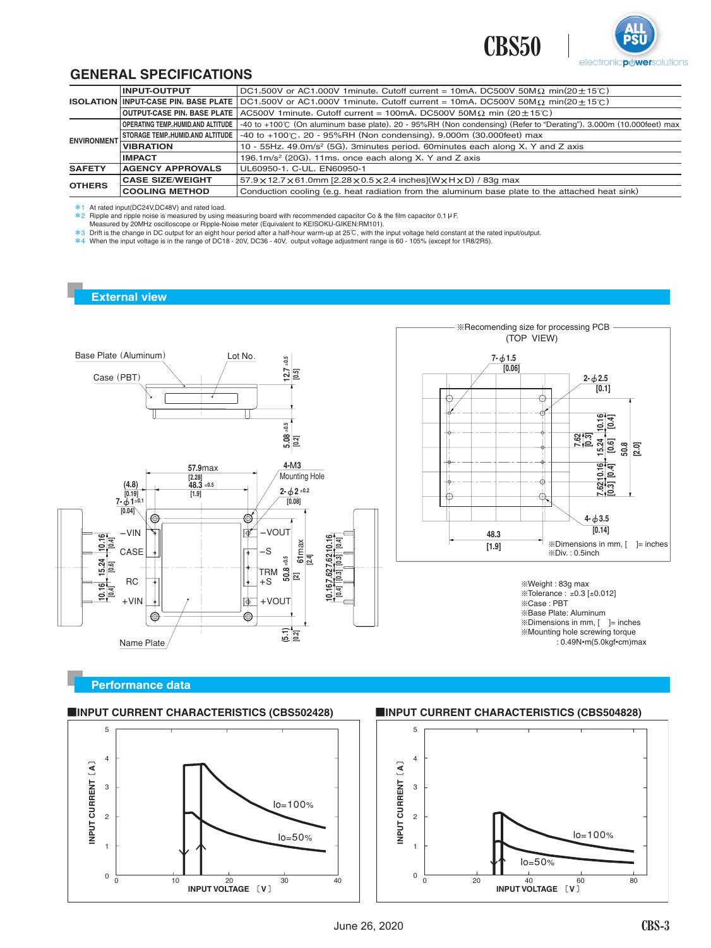



#### **GENERAL SPECIFICATIONS**

| <b>INPUT-OUTPUT</b>                       | DC1,500V or AC1,000V 1minute, Cutoff current = 10mA, DC500V 50M $\Omega$ min(20 + 15°C)                                                 |  |  |  |  |
|-------------------------------------------|-----------------------------------------------------------------------------------------------------------------------------------------|--|--|--|--|
|                                           | <b>ISOLATION INPUT-CASE PIN, BASE PLATE</b> DC1,500V or AC1,000V 1minute, Cutoff current = 10mA, DC500V 50M $\Omega$ min(20 $\pm$ 15°C) |  |  |  |  |
| OUTPUT-CASE PIN, BASE PLATE               | AC500V 1 minute, Cutoff current = 100mA, DC500V 50M $\Omega$ min (20 $\pm$ 15°C)                                                        |  |  |  |  |
| <b>OPERATING TEMP. HUMID.AND ALTITUDE</b> | -40 to +100℃ (On aluminum base plate), 20 - 95%RH (Non condensing) (Refer to "Derating"), 3,000m (10,000feet) max                       |  |  |  |  |
| STORAGE TEMP., HUMID.AND ALTITUDE         | $-40$ to +100℃, 20 - 95%RH (Non condensing), 9,000m (30,000feet) max                                                                    |  |  |  |  |
| <b>VIBRATION</b>                          | 10 - 55Hz, 49.0m/s <sup>2</sup> (5G), 3minutes period, 60minutes each along X, Y and Z axis                                             |  |  |  |  |
| <b>IMPACT</b>                             | 196.1m/s <sup>2</sup> (20G), 11ms, once each along X, Y and Z axis                                                                      |  |  |  |  |
| <b>AGENCY APPROVALS</b>                   | UL60950-1, C-UL, EN60950-1                                                                                                              |  |  |  |  |
| <b>CASE SIZE/WEIGHT</b>                   | $57.9 \times 12.7 \times 61.0$ mm [2.28 $\times$ 0.5 $\times$ 2.4 inches](W $\times$ H $\times$ D) / 83g max                            |  |  |  |  |
| <b>COOLING METHOD</b>                     | Conduction cooling (e.g. heat radiation from the aluminum base plate to the attached heat sink)                                         |  |  |  |  |
|                                           | <b>ENVIRONMENT</b>                                                                                                                      |  |  |  |  |

\*1 At rated input(DC24V,DC48V) and rated load.<br>\*2 Ripple and ripple noise is measured by using measuring board with recommended capacitor Co & the film capacitor 0.1 µ F.<br>Меаsured by 20MHz oscilloscope or Ripple-Noise m

\*3 Drift is the change in DC output for an eight hour period after a half-hour warm-up at 25℃, with the input voltage held constant at the rated input/output.<br>\*4 When the input voltage is in the range of DC18 - 20V, DC36

#### **External view**



#### **Performance data**



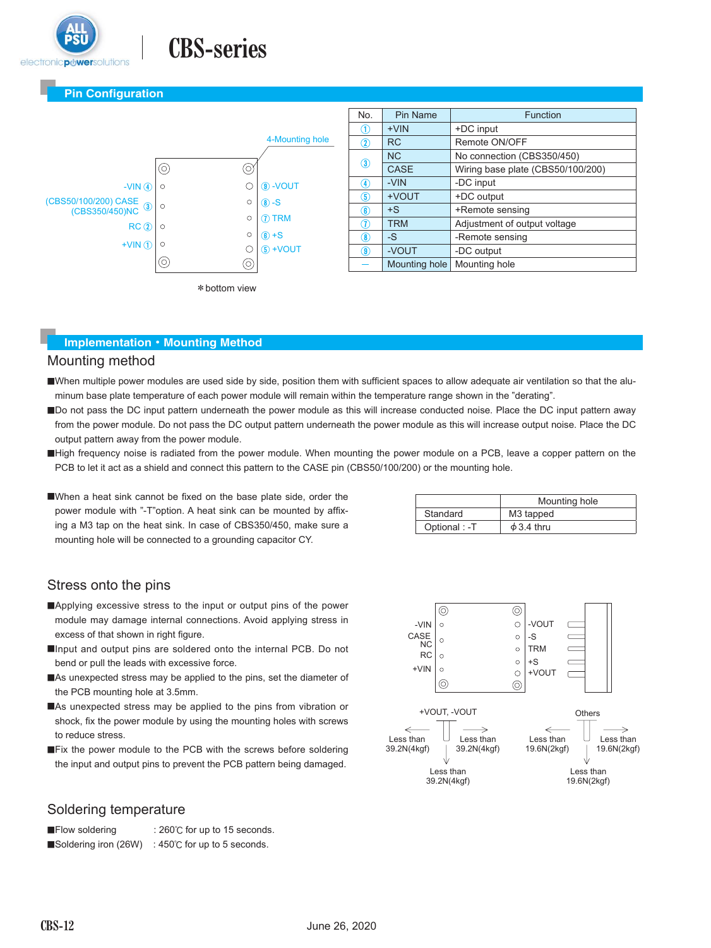

# **CBS-series**

#### **Pin Configuration**



| No.             | Pin Name      | <b>Function</b>                   |
|-----------------|---------------|-----------------------------------|
| (1)             | $+VIN$        | +DC input                         |
| $^\mathrm{(2)}$ | <b>RC</b>     | Remote ON/OFF                     |
| $\circled{3}$   | <b>NC</b>     | No connection (CBS350/450)        |
|                 | CASE          | Wiring base plate (CBS50/100/200) |
| 4               | -VIN          | -DC input                         |
| <b>(5)</b>      | +VOUT         | +DC output                        |
| 6               | $+S$          | +Remote sensing                   |
| 7               | <b>TRM</b>    | Adjustment of output voltage      |
| 8               | $-S$          | -Remote sensing                   |
| 9               | -VOUT         | -DC output                        |
|                 | Mounting hole | Mounting hole                     |

#### **Implementation・Mounting Method**

#### Mounting method

- When multiple power modules are used side by side, position them with sufficient spaces to allow adequate air ventilation so that the aluminum base plate temperature of each power module will remain within the temperature range shown in the "derating".
- Do not pass the DC input pattern underneath the power module as this will increase conducted noise. Place the DC input pattern away from the power module. Do not pass the DC output pattern underneath the power module as this will increase output noise. Place the DC output pattern away from the power module.
- High frequency noise is radiated from the power module. When mounting the power module on a PCB, leave a copper pattern on the PCB to let it act as a shield and connect this pattern to the CASE pin (CBS50/100/200) or the mounting hole.
- ■When a heat sink cannot be fixed on the base plate side, order the power module with "-T"option. A heat sink can be mounted by affixing a M3 tap on the heat sink. In case of CBS350/450, make sure a mounting hole will be connected to a grounding capacitor CY.

|               | Mounting hole         |
|---------------|-----------------------|
| Standard      | M <sub>3</sub> tapped |
| Optional : -T | $\phi$ 3.4 thru       |

#### Stress onto the pins

- ■Applying excessive stress to the input or output pins of the power module may damage internal connections. Avoid applying stress in excess of that shown in right figure.
- ■Input and output pins are soldered onto the internal PCB. Do not bend or pull the leads with excessive force.
- ■As unexpected stress may be applied to the pins, set the diameter of the PCB mounting hole at 3.5mm.
- ■As unexpected stress may be applied to the pins from vibration or shock, fix the power module by using the mounting holes with screws to reduce stress.
- **EXAM** THE FIX the power module to the PCB with the screws before soldering the input and output pins to prevent the PCB pattern being damaged.



#### Soldering temperature

**■Flow soldering : 260℃ for up to 15 seconds.** ■Soldering iron (26W) : 450℃ for up to 5 seconds.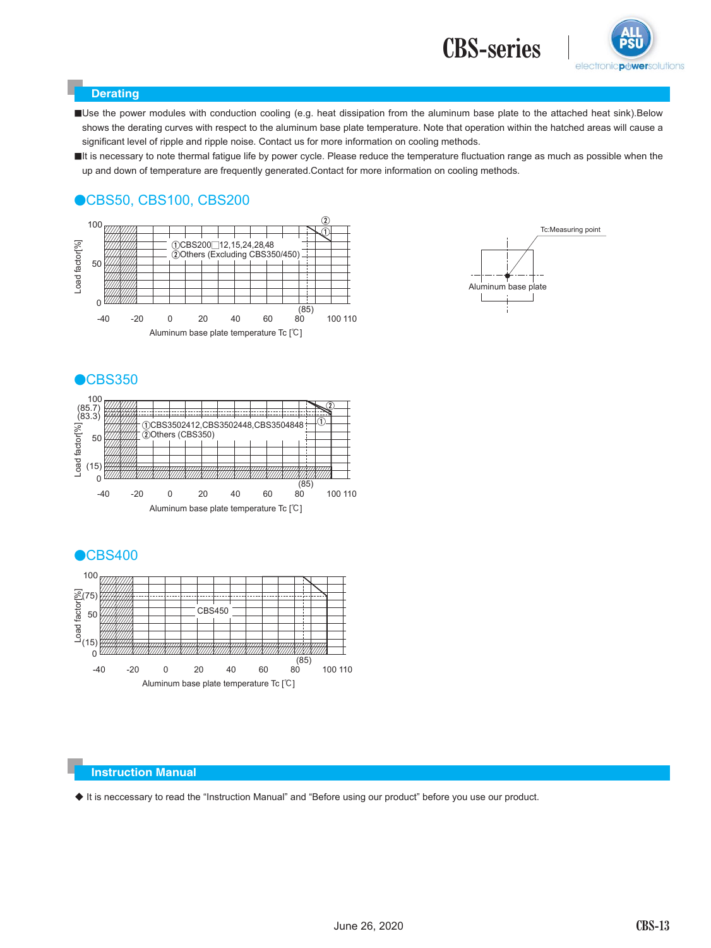



#### **Derating**

■Use the power modules with conduction cooling (e.g. heat dissipation from the aluminum base plate to the attached heat sink).Below shows the derating curves with respect to the aluminum base plate temperature. Note that operation within the hatched areas will cause a significant level of ripple and ripple noise. Contact us for more information on cooling methods.

It is necessary to note thermal fatigue life by power cycle. Please reduce the temperature fluctuation range as much as possible when the up and down of temperature are frequently generated.Contact for more information on cooling methods.

### ●CBS50, CBS100, CBS200













#### **Instruction Manual**

◆ It is neccessary to read the "Instruction Manual" and "Before using our product" before you use our product.